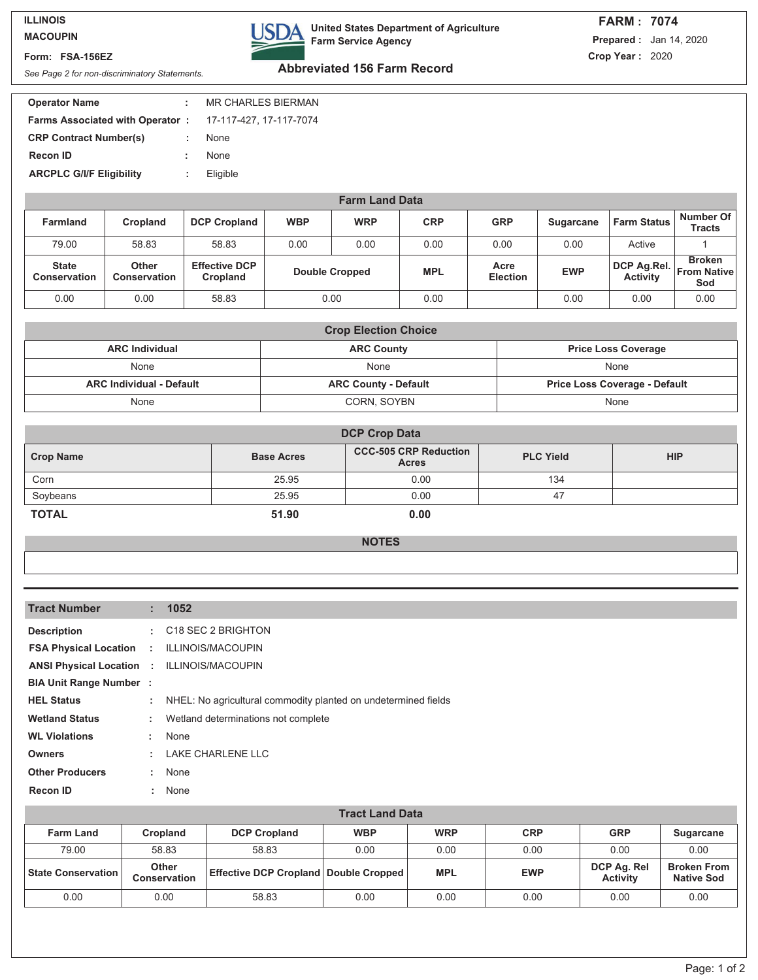## **ILLINOIS MACOUPIN**

## **Form: FSA-156EZ**

**USDA** 

**United States Department of Agriculture Farm Service Agency**

## **FARM : 7074 Prepared :** Jan 14, 2020 **Crop Year :** 2020

**Abbreviated 156 Farm Record** *See Page 2 for non-discriminatory Statements.*

| <b>Operator Name</b>                                           |    | <b>MR CHARLES BIERMAN</b> |
|----------------------------------------------------------------|----|---------------------------|
| <b>Farms Associated with Operator: 17-117-427, 17-117-7074</b> |    |                           |
| <b>CRP Contract Number(s)</b>                                  | t. | None                      |
| <b>Recon ID</b>                                                |    | <b>None</b>               |
| <b>ARCPLC G/I/F Eligibility</b>                                |    | Eligible                  |
|                                                                |    |                           |

| <b>Farm Land Data</b>               |                              |                                  |                       |            |            |                         |            |                                |                                            |
|-------------------------------------|------------------------------|----------------------------------|-----------------------|------------|------------|-------------------------|------------|--------------------------------|--------------------------------------------|
| <b>Farmland</b>                     | Cropland                     | <b>DCP Cropland</b>              | <b>WBP</b>            | <b>WRP</b> | <b>CRP</b> | <b>GRP</b>              | Sugarcane  | <b>Farm Status</b>             | Number Of<br>Tracts                        |
| 79.00                               | 58.83                        | 58.83                            | 0.00                  | 0.00       | 0.00       | 0.00                    | 0.00       | Active                         |                                            |
| <b>State</b><br><b>Conservation</b> | Other<br><b>Conservation</b> | <b>Effective DCP</b><br>Cropland | <b>Double Cropped</b> |            | <b>MPL</b> | Acre<br><b>Election</b> | <b>EWP</b> | DCP Ag.Rel.<br><b>Activity</b> | <b>Broken</b><br><b>From Native</b><br>Sod |
| 0.00                                | 0.00                         | 58.83                            |                       | 0.00       | 0.00       |                         | 0.00       | 0.00                           | 0.00                                       |

| <b>Crop Election Choice</b>     |                             |                                      |  |  |  |  |
|---------------------------------|-----------------------------|--------------------------------------|--|--|--|--|
| <b>ARC Individual</b>           | <b>ARC County</b>           | <b>Price Loss Coverage</b>           |  |  |  |  |
| None                            | None                        | None                                 |  |  |  |  |
| <b>ARC Individual - Default</b> | <b>ARC County - Default</b> | <b>Price Loss Coverage - Default</b> |  |  |  |  |
| None                            | CORN, SOYBN                 | None                                 |  |  |  |  |

| <b>DCP Crop Data</b> |                   |                                              |                  |            |  |  |
|----------------------|-------------------|----------------------------------------------|------------------|------------|--|--|
| <b>Crop Name</b>     | <b>Base Acres</b> | <b>CCC-505 CRP Reduction</b><br><b>Acres</b> | <b>PLC Yield</b> | <b>HIP</b> |  |  |
| Corn                 | 25.95             | 0.00                                         | 134              |            |  |  |
| Soybeans             | 25.95             | 0.00                                         | 47               |            |  |  |
| <b>TOTAL</b>         | 51.90             | 0.00                                         |                  |            |  |  |

**NOTES**

| <b>Tract Number</b>                               | t i           | 1052                                                           |
|---------------------------------------------------|---------------|----------------------------------------------------------------|
| <b>Description</b>                                | ÷.            | C18 SEC 2 BRIGHTON                                             |
| <b>FSA Physical Location</b>                      | $\mathcal{L}$ | ILLINOIS/MACOUPIN                                              |
| <b>ANSI Physical Location : ILLINOIS/MACOUPIN</b> |               |                                                                |
| <b>BIA Unit Range Number:</b>                     |               |                                                                |
| <b>HEL Status</b>                                 | ÷             | NHEL: No agricultural commodity planted on undetermined fields |
| <b>Wetland Status</b>                             | ÷.            | Wetland determinations not complete                            |
| <b>WL Violations</b>                              | ÷.            | None                                                           |
| <b>Owners</b>                                     | ÷             | <b>LAKE CHARLENE LLC</b>                                       |
| <b>Other Producers</b>                            | ÷             | None                                                           |
| <b>Recon ID</b>                                   | ÷.            | None                                                           |

| <b>Tract Land Data</b>    |                              |                                                  |            |            |            |                                |                                         |
|---------------------------|------------------------------|--------------------------------------------------|------------|------------|------------|--------------------------------|-----------------------------------------|
| <b>Farm Land</b>          | <b>Cropland</b>              | <b>DCP Cropland</b>                              | <b>WBP</b> | <b>WRP</b> | <b>CRP</b> | <b>GRP</b>                     | <b>Sugarcane</b>                        |
| 79.00                     | 58.83                        | 58.83                                            | 0.00       | 0.00       | 0.00       | 0.00                           | 0.00                                    |
| <b>State Conservation</b> | Other<br><b>Conservation</b> | <b>Effective DCP Cropland   Double Cropped  </b> |            | <b>MPL</b> | <b>EWP</b> | DCP Ag. Rel<br><b>Activity</b> | <b>Broken From</b><br><b>Native Sod</b> |
| 0.00                      | 0.00                         | 58.83                                            | 0.00       | 0.00       | 0.00       | 0.00                           | 0.00                                    |